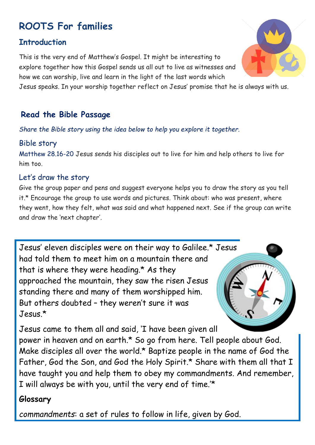# **ROOTS For families**

## **Introduction**

This is the very end of Matthew's Gospel. It might be interesting to explore together how this Gospel sends us all out to live as witnesses and how we can worship, live and learn in the light of the last words which

Jesus speaks. In your worship together reflect on Jesus' promise that he is always with us.

# **Read the Bible Passage**

*Share the Bible story using the idea below to help you explore it together.*

## Bible story

Matthew 28.16-20 Jesus sends his disciples out to live for him and help others to live for him too.

## Let's draw the story

Give the group paper and pens and suggest everyone helps you to draw the story as you tell it.\* Encourage the group to use words and pictures. Think about: who was present, where they went, how they felt, what was said and what happened next. See if the group can write and draw the 'next chapter'.

Jesus' eleven disciples were on their way to Galilee.\* Jesus had told them to meet him on a mountain there and that is where they were heading.\* As they approached the mountain, they saw the risen Jesus standing there and many of them worshipped him. But others doubted – they weren't sure it was  $Jesus*$ 



Jesus came to them all and said, 'I have been given all

power in heaven and on earth.\* So go from here. Tell people about God. Make disciples all over the world.\* Baptize people in the name of God the Father, God the Son, and God the Holy Spirit.\* Share with them all that I have taught you and help them to obey my commandments. And remember, I will always be with you, until the very end of time.'\*

# **Glossary**

*commandments*: a set of rules to follow in life, given by God.

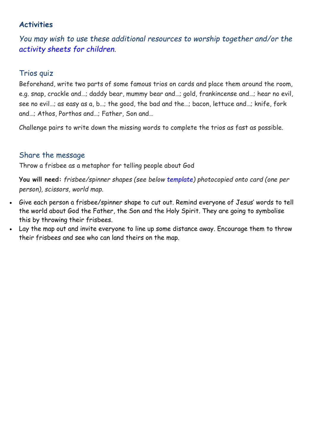#### **Activities**

*You may wish to use these additional resources to worship together and/or the [activity sheets for children.](https://www.rootsontheweb.com/i-am-looking-for/public-copies/worshipathome7jun#activity)*

### Trios quiz

Beforehand, write two parts of some famous trios on cards and place them around the room, e.g. snap, crackle and…; daddy bear, mummy bear and…; gold, frankincense and…; hear no evil, see no evil…; as easy as a, b…; the good, the bad and the…; bacon, lettuce and…; knife, fork and…; Athos, Porthos and…; Father, Son and…

Challenge pairs to write down the missing words to complete the trios as fast as possible.

### Share the message

Throw a frisbee as a metaphor for telling people about God

**You will need:** *frisbee/spinner shapes (see below [template\)](https://www.rootsontheweb.com/media/15522/spinners.pdf) photocopied onto card (one per person), scissors, world map.*

- Give each person a frisbee/spinner shape to cut out. Remind everyone of Jesus' words to tell the world about God the Father, the Son and the Holy Spirit. They are going to symbolise this by throwing their frisbees.
- Lay the map out and invite everyone to line up some distance away. Encourage them to throw their frisbees and see who can land theirs on the map.